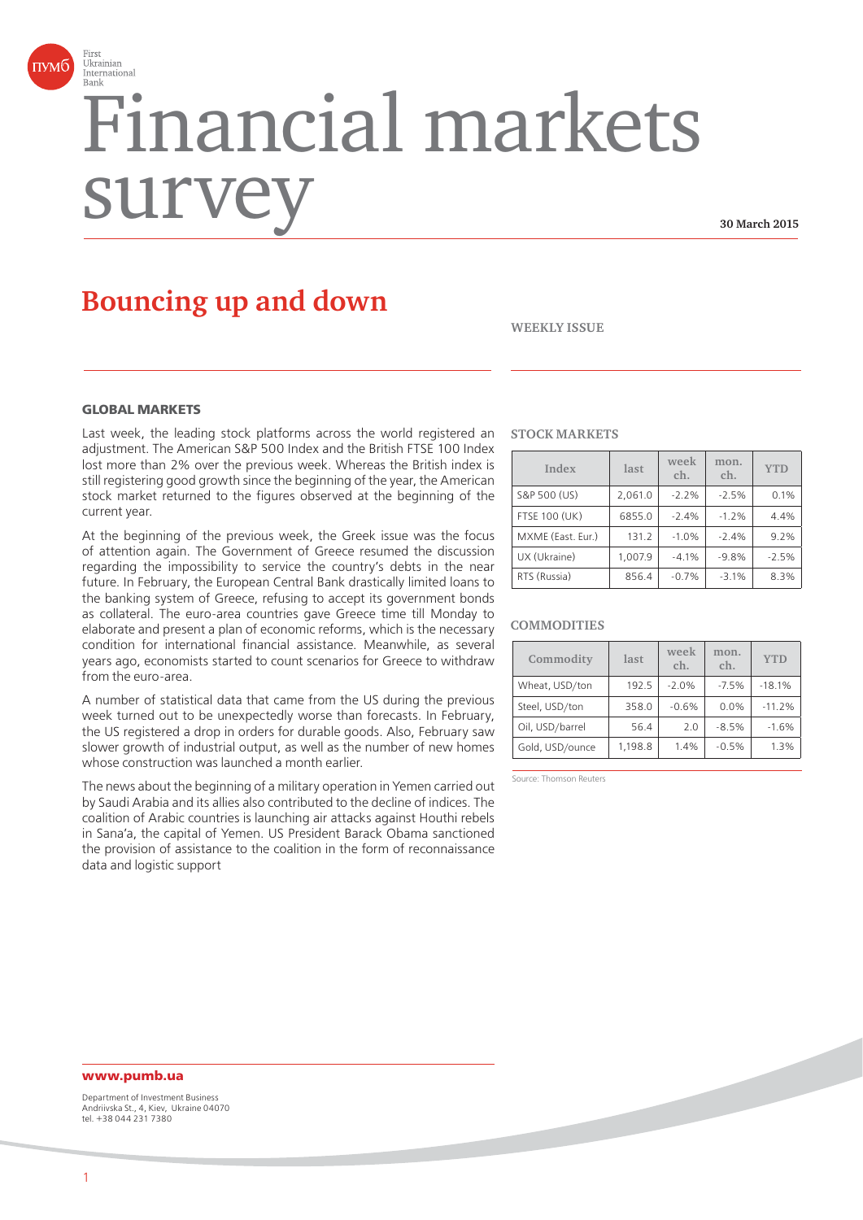

# Financial markets surv

**30 March 2015**

# **Bouncing up and down**

**WEEKLY ISSUE**

### **GLORAL MARKETS**

Last week, the leading stock platforms across the world registered an adjustment. The American S&P 500 Index and the British FTSE 100 Index lost more than 2% over the previous week. Whereas the British index is still registering good growth since the beginning of the year, the American stock market returned to the figures observed at the beginning of the current year.

At the beginning of the previous week, the Greek issue was the focus of attention again. The Government of Greece resumed the discussion regarding the impossibility to service the country's debts in the near future. In February, the European Central Bank drastically limited loans to the banking system of Greece, refusing to accept its government bonds as collateral. The euro-area countries gave Greece time till Monday to elaborate and present a plan of economic reforms, which is the necessary condition for international financial assistance. Meanwhile, as several years ago, economists started to count scenarios for Greece to withdraw from the euro-area.

A number of statistical data that came from the US during the previous week turned out to be unexpectedly worse than forecasts. In February, the US registered a drop in orders for durable goods. Also, February saw slower growth of industrial output, as well as the number of new homes whose construction was launched a month earlier.

The news about the beginning of a military operation in Yemen carried out by Saudi Arabia and its allies also contributed to the decline of indices. The coalition of Arabic countries is launching air attacks against Houthi rebels in Sana'a, the capital of Yemen. US President Barack Obama sanctioned the provision of assistance to the coalition in the form of reconnaissance data and logistic support

#### **STOCK MARKETS**

| Index                | last    | week<br>ch. | mon.<br>ch. | <b>YTD</b> |
|----------------------|---------|-------------|-------------|------------|
| S&P 500 (US)         | 2.061.0 | $-2.2%$     | $-2.5%$     | 0.1%       |
| <b>FTSE 100 (UK)</b> | 6855.0  | $-2.4%$     | $-1.2%$     | 4.4%       |
| MXME (East. Eur.)    | 131.2   | $-1.0%$     | $-2.4%$     | 9.2%       |
| UX (Ukraine)         | 1,007.9 | $-4.1%$     | $-9.8%$     | $-2.5%$    |
| RTS (Russia)         | 856.4   | $-0.7%$     | $-3.1%$     | 8.3%       |

#### **COMMODITIES**

| Commodity       | last    | week<br>ch. | mon.<br>ch. | <b>YTD</b> |
|-----------------|---------|-------------|-------------|------------|
| Wheat, USD/ton  | 192.5   | $-2.0%$     | $-7.5%$     | $-18.1%$   |
| Steel, USD/ton  | 358.0   | $-0.6%$     | 0.0%        | $-11.2%$   |
| Oil, USD/barrel | 56.4    | 2.0         | $-8.5%$     | $-1.6%$    |
| Gold, USD/ounce | 1.198.8 | 1.4%        | $-0.5%$     | 1.3%       |

Source: Thomson Reuters

## **www.pumb.ua**

Department of Investment Business Andriivska St., 4, Kiev, Ukraine 04070 tel. +38 044 231 7380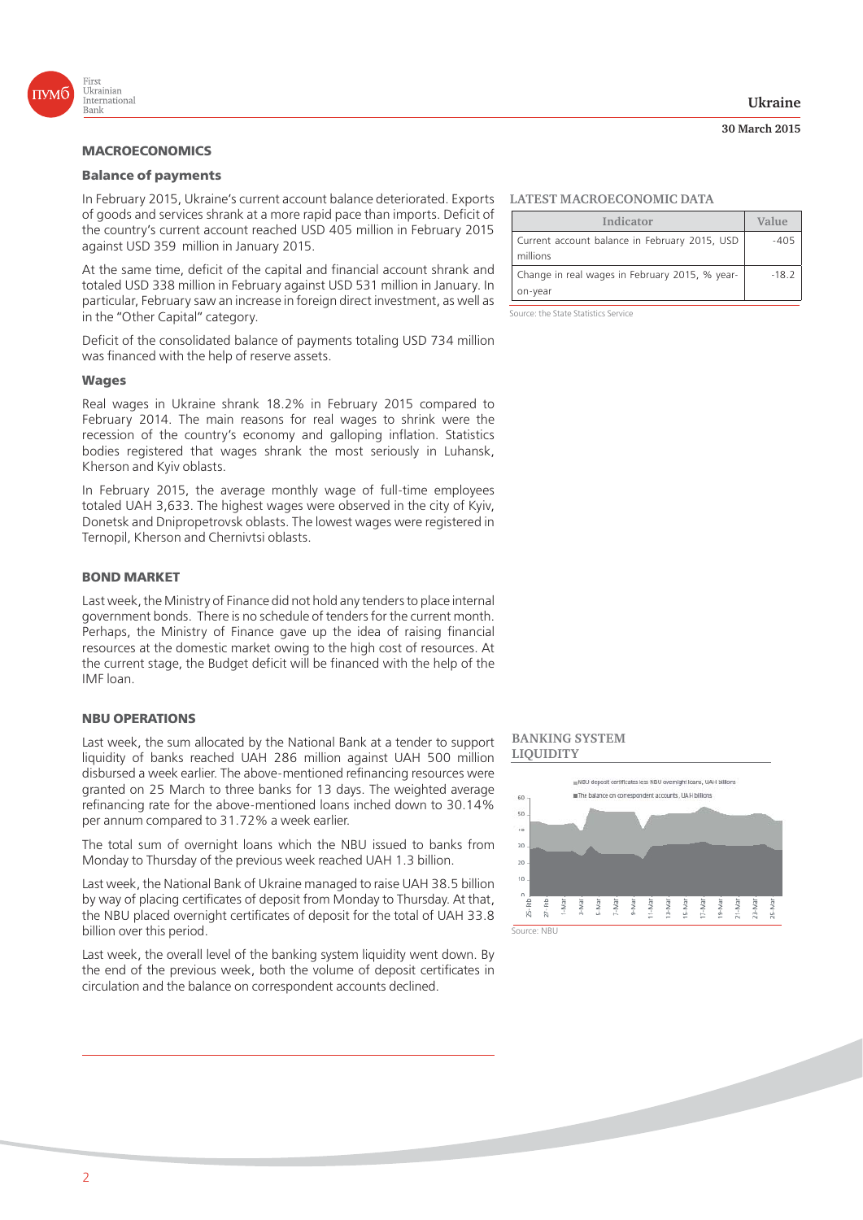

## **Balance of payments**

In February 2015, Ukraine's current account balance deteriorated. Exports **LATEST MACROECONOMIC DATA** of goods and services shrank at a more rapid pace than imports. Deficit of the country's current account reached USD 405 million in February 2015 against USD 359 million in January 2015.

At the same time, deficit of the capital and financial account shrank and totaled USD 338 million in February against USD 531 million in January. In particular, February saw an increase in foreign direct investment, as well as in the "Other Capital" category.

Deficit of the consolidated balance of payments totaling USD 734 million was financed with the help of reserve assets.

# **Wages**

Real wages in Ukraine shrank 18.2% in February 2015 compared to February 2014. The main reasons for real wages to shrink were the recession of the country's economy and galloping inflation. Statistics bodies registered that wages shrank the most seriously in Luhansk, Kherson and Kyiv oblasts.

In February 2015, the average monthly wage of full-time employees totaled UAH 3,633. The highest wages were observed in the city of Kyiv, Donetsk and Dnipropetrovsk oblasts. The lowest wages were registered in Ternopil, Kherson and Chernivtsi oblasts.

#### **BOND MARKET**

Last week, the Ministry of Finance did not hold any tenders to place internal government bonds. There is no schedule of tenders for the current month. Perhaps, the Ministry of Finance gave up the idea of raising financial resources at the domestic market owing to the high cost of resources. At the current stage, the Budget deficit will be financed with the help of the IMF loan.

Last week, the sum allocated by the National Bank at a tender to support liquidity of banks reached UAH 286 million against UAH 500 million disbursed a week earlier. The above-mentioned refinancing resources were granted on 25 March to three banks for 13 days. The weighted average refinancing rate for the above-mentioned loans inched down to 30.14% per annum compared to 31.72% a week earlier.

The total sum of overnight loans which the NBU issued to banks from Monday to Thursday of the previous week reached UAH 1.3 billion.

Last week, the National Bank of Ukraine managed to raise UAH 38.5 billion by way of placing certificates of deposit from Monday to Thursday. At that, the NBU placed overnight certificates of deposit for the total of UAH 33.8 billion over this period.

Last week, the overall level of the banking system liquidity went down. By the end of the previous week, both the volume of deposit certificates in circulation and the balance on correspondent accounts declined.

| Indicator                                                 | Value   |
|-----------------------------------------------------------|---------|
| Current account balance in February 2015, USD<br>millions | $-405$  |
| Change in real wages in February 2015, % year-<br>on-year | $-18.2$ |

Source: the State Statistics Service

#### **BANKING SYSTEM LIQUIDITY**



#### **Ukraine**

**30 March 2015**

2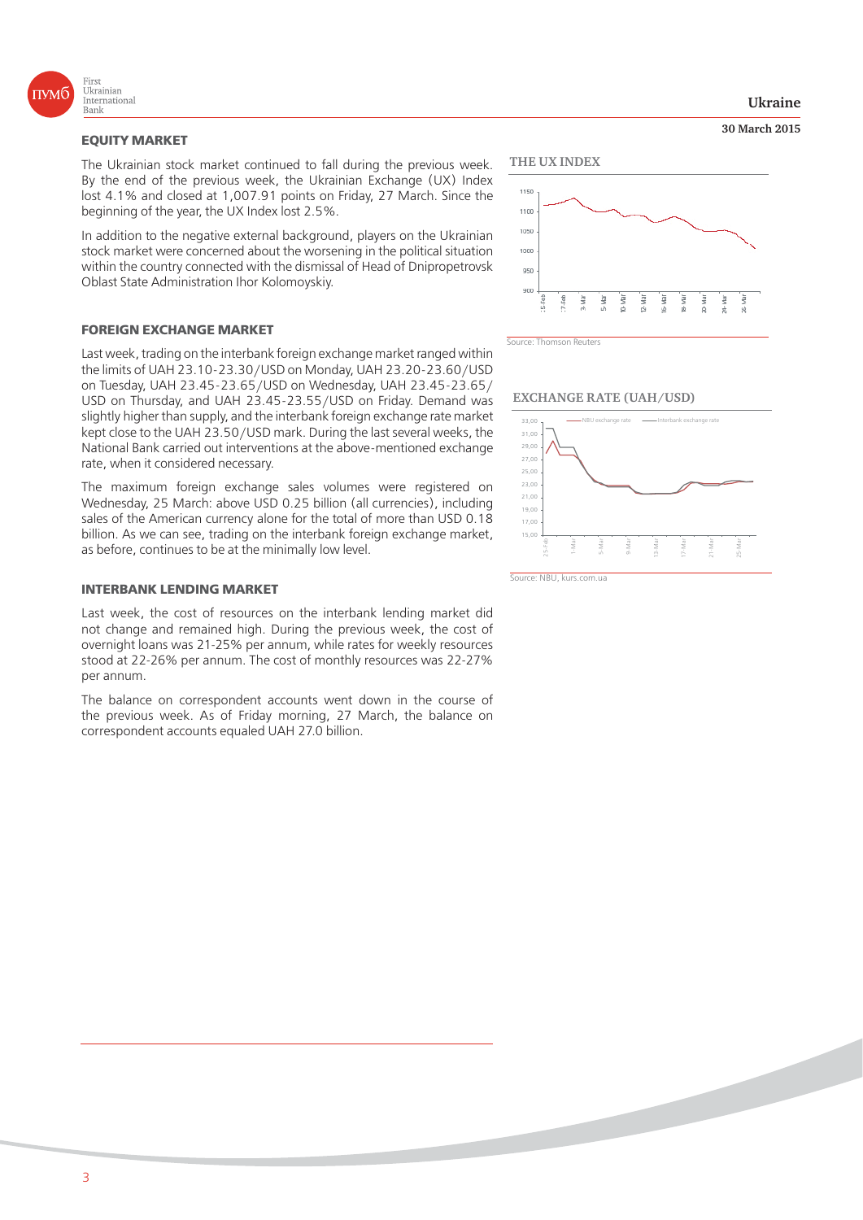

**EQUITY MARKET** The Ukrainian stock market continued to fall during the previous week. By the end of the previous week, the Ukrainian Exchange (UX) Index lost 4.1% and closed at 1,007.91 points on Friday, 27 March. Since the beginning of the year, the UX Index lost 2.5%.

In addition to the negative external background, players on the Ukrainian stock market were concerned about the worsening in the political situation within the country connected with the dismissal of Head of Dnipropetrovsk Oblast State Administration Ihor Kolomoyskiy.

### **FOREIGN EXCHANGE MARKET**

Last week, trading on the interbank foreign exchange market ranged within the limits of UAH 23.10-23.30/USD on Monday, UAH 23.20-23.60/USD on Tuesday, UAH 23.45-23.65/USD on Wednesday, UAH 23.45-23.65/ USD on Thursday, and UAH 23.45-23.55/USD on Friday. Demand was slightly higher than supply, and the interbank foreign exchange rate market kept close to the UAH 23.50/USD mark. During the last several weeks, the National Bank carried out interventions at the above-mentioned exchange rate, when it considered necessary.

The maximum foreign exchange sales volumes were registered on Wednesday, 25 March: above USD 0.25 billion (all currencies), including sales of the American currency alone for the total of more than USD 0.18 billion. As we can see, trading on the interbank foreign exchange market, as before, continues to be at the minimally low level.

Last week, the cost of resources on the interbank lending market did not change and remained high. During the previous week, the cost of overnight loans was 21-25% per annum, while rates for weekly resources stood at 22-26% per annum. The cost of monthly resources was 22-27% per annum.

The balance on correspondent accounts went down in the course of the previous week. As of Friday morning, 27 March, the balance on correspondent accounts equaled UAH 27.0 billion.

**Ukraine**

**30 March 2015**





**EXCHANGE RATE (UAH/USD)**

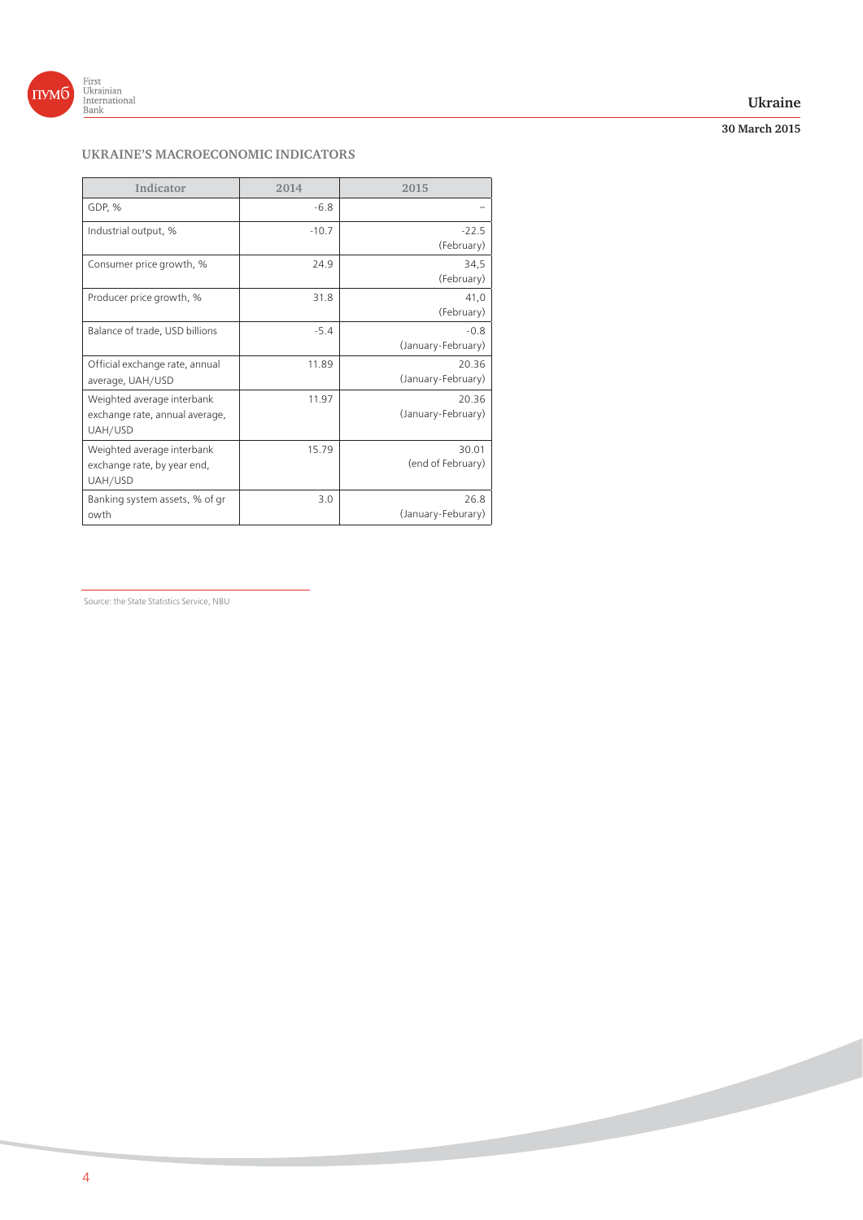

## **Ukraine**

## **30 March 2015**

## **UKRAINE'S MACROECONOMIC INDICATORS**

| Indicator                                                               | 2014    | 2015                         |
|-------------------------------------------------------------------------|---------|------------------------------|
| GDP, %                                                                  | $-6.8$  |                              |
| Industrial output, %                                                    | $-10.7$ | $-22.5$<br>(February)        |
| Consumer price growth, %                                                | 24.9    | 34,5<br>(February)           |
| Producer price growth, %                                                | 31.8    | 41,0<br>(February)           |
| Balance of trade, USD billions                                          | $-5.4$  | $-0.8$<br>(January-February) |
| Official exchange rate, annual<br>average, UAH/USD                      | 11.89   | 20.36<br>(January-February)  |
| Weighted average interbank<br>exchange rate, annual average,<br>UAH/USD | 11.97   | 20.36<br>(January-February)  |
| Weighted average interbank<br>exchange rate, by year end,<br>UAH/USD    | 15.79   | 30.01<br>(end of February)   |
| Banking system assets, % of gr<br>owth                                  | 3.0     | 26.8<br>(January-Feburary)   |
|                                                                         |         |                              |

Source: the State Statistics Service, NBU